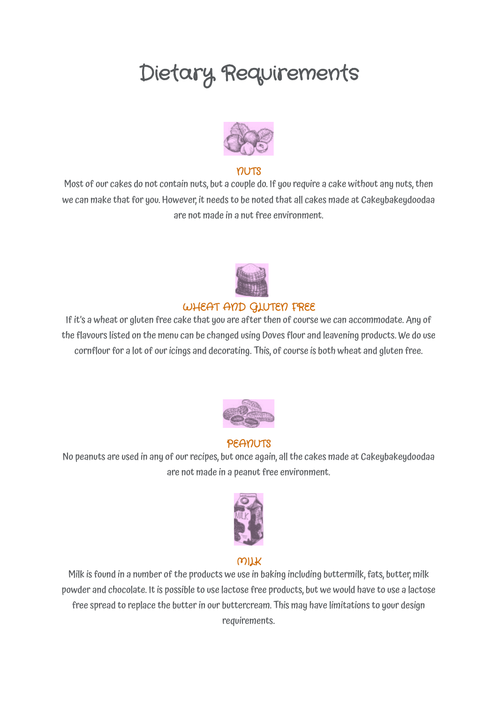# Dietary Requirements



#### **YILLTS**

Most of our cakes do not contain nuts, but a couple do. If you require a cake without any nuts,then we can make that for you. However, it needs to be noted that all cakes made at Cakeybakeydoodaa are not made in a nut free environment.



### WHEAT AND GLUTEN FREE

If it's a wheat or gluten free cake that you are after then of course we can accommodate. Any of the flavours listed on the menu can be changed using Doves flour and leavening products. We do use cornflour for a lot of our icings and decorating. This, of course is both wheat and gluten free.



#### PEANUTS

No peanuts are used in any of our recipes, but once again, all the cakes made at Cakeybakeydoodaa are not made in a peanut free environment.



#### MILK

Milk is found in a number of the products we use in baking including buttermilk, fats, butter, milk powder and chocolate. It is possible to use lactose free products, but we would have to use a lactose free spread to replace the butter in our buttercream. This may have limitations to your design requirements.